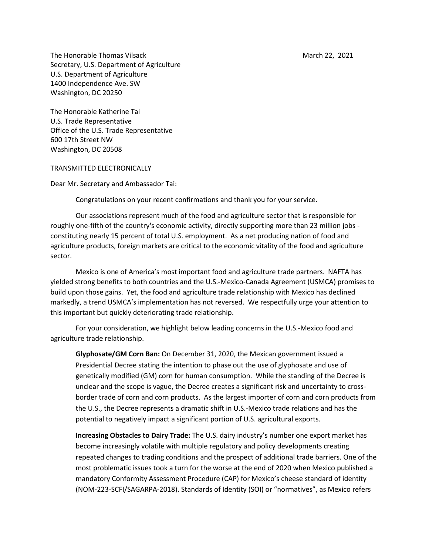The Honorable Thomas Vilsack March 22, 2021 Secretary, U.S. Department of Agriculture U.S. Department of Agriculture 1400 Independence Ave. SW Washington, DC 20250

The Honorable Katherine Tai U.S. Trade Representative Office of the U.S. Trade Representative 600 17th Street NW Washington, DC 20508

TRANSMITTED ELECTRONICALLY

Dear Mr. Secretary and Ambassador Tai:

Congratulations on your recent confirmations and thank you for your service.

Our associations represent much of the food and agriculture sector that is responsible for roughly one-fifth of the country's economic activity, directly supporting more than 23 million jobs constituting nearly 15 percent of total U.S. employment. As a net producing nation of food and agriculture products, foreign markets are critical to the economic vitality of the food and agriculture sector.

Mexico is one of America's most important food and agriculture trade partners. NAFTA has yielded strong benefits to both countries and the U.S.-Mexico-Canada Agreement (USMCA) promises to build upon those gains. Yet, the food and agriculture trade relationship with Mexico has declined markedly, a trend USMCA's implementation has not reversed. We respectfully urge your attention to this important but quickly deteriorating trade relationship.

For your consideration, we highlight below leading concerns in the U.S.-Mexico food and agriculture trade relationship.

**Glyphosate/GM Corn Ban:** On December 31, 2020, the Mexican government issued a Presidential Decree stating the intention to phase out the use of glyphosate and use of genetically modified (GM) corn for human consumption. While the standing of the Decree is unclear and the scope is vague, the Decree creates a significant risk and uncertainty to crossborder trade of corn and corn products. As the largest importer of corn and corn products from the U.S., the Decree represents a dramatic shift in U.S.-Mexico trade relations and has the potential to negatively impact a significant portion of U.S. agricultural exports.

**Increasing Obstacles to Dairy Trade:** The U.S. dairy industry's number one export market has become increasingly volatile with multiple regulatory and policy developments creating repeated changes to trading conditions and the prospect of additional trade barriers. One of the most problematic issues took a turn for the worse at the end of 2020 when Mexico published a mandatory Conformity Assessment Procedure (CAP) for Mexico's cheese standard of identity (NOM-223-SCFI/SAGARPA-2018). Standards of Identity (SOI) or "normatives", as Mexico refers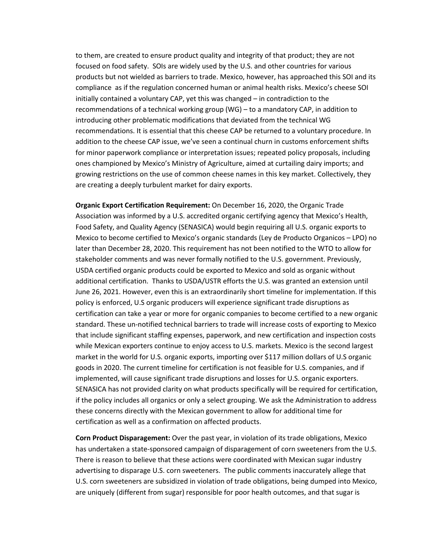to them, are created to ensure product quality and integrity of that product; they are not focused on food safety. SOIs are widely used by the U.S. and other countries for various products but not wielded as barriers to trade. Mexico, however, has approached this SOI and its compliance as if the regulation concerned human or animal health risks. Mexico's cheese SOI initially contained a voluntary CAP, yet this was changed – in contradiction to the recommendations of a technical working group (WG) – to a mandatory CAP, in addition to introducing other problematic modifications that deviated from the technical WG recommendations. It is essential that this cheese CAP be returned to a voluntary procedure. In addition to the cheese CAP issue, we've seen a continual churn in customs enforcement shifts for minor paperwork compliance or interpretation issues; repeated policy proposals, including ones championed by Mexico's Ministry of Agriculture, aimed at curtailing dairy imports; and growing restrictions on the use of common cheese names in this key market. Collectively, they are creating a deeply turbulent market for dairy exports.

**Organic Export Certification Requirement:** On December 16, 2020, the Organic Trade Association was informed by a U.S. accredited organic certifying agency that Mexico's Health, Food Safety, and Quality Agency (SENASICA) would begin requiring all U.S. organic exports to Mexico to become certified to Mexico's organic standards (Ley de Producto Organicos – LPO) no later than December 28, 2020. This requirement has not been notified to the WTO to allow for stakeholder comments and was never formally notified to the U.S. government. Previously, USDA certified organic products could be exported to Mexico and sold as organic without additional certification. Thanks to USDA/USTR efforts the U.S. was granted an extension until June 26, 2021. However, even this is an extraordinarily short timeline for implementation. If this policy is enforced, U.S organic producers will experience significant trade disruptions as certification can take a year or more for organic companies to become certified to a new organic standard. These un-notified technical barriers to trade will increase costs of exporting to Mexico that include significant staffing expenses, paperwork, and new certification and inspection costs while Mexican exporters continue to enjoy access to U.S. markets. Mexico is the second largest market in the world for U.S. organic exports, importing over \$117 million dollars of U.S organic goods in 2020. The current timeline for certification is not feasible for U.S. companies, and if implemented, will cause significant trade disruptions and losses for U.S. organic exporters. SENASICA has not provided clarity on what products specifically will be required for certification, if the policy includes all organics or only a select grouping. We ask the Administration to address these concerns directly with the Mexican government to allow for additional time for certification as well as a confirmation on affected products.

**Corn Product Disparagement:** Over the past year, in violation of its trade obligations, Mexico has undertaken a state-sponsored campaign of disparagement of corn sweeteners from the U.S. There is reason to believe that these actions were coordinated with Mexican sugar industry advertising to disparage U.S. corn sweeteners. The public comments inaccurately allege that U.S. corn sweeteners are subsidized in violation of trade obligations, being dumped into Mexico, are uniquely (different from sugar) responsible for poor health outcomes, and that sugar is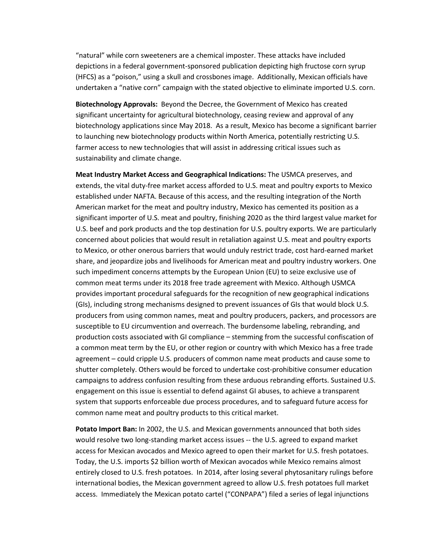"natural" while corn sweeteners are a chemical imposter. These attacks have included depictions in a federal government-sponsored publication depicting high fructose corn syrup (HFCS) as a "poison," using a skull and crossbones image. Additionally, Mexican officials have undertaken a "native corn" campaign with the stated objective to eliminate imported U.S. corn.

**Biotechnology Approvals:** Beyond the Decree, the Government of Mexico has created significant uncertainty for agricultural biotechnology, ceasing review and approval of any biotechnology applications since May 2018. As a result, Mexico has become a significant barrier to launching new biotechnology products within North America, potentially restricting U.S. farmer access to new technologies that will assist in addressing critical issues such as sustainability and climate change.

**Meat Industry Market Access and Geographical Indications:** The USMCA preserves, and extends, the vital duty-free market access afforded to U.S. meat and poultry exports to Mexico established under NAFTA. Because of this access, and the resulting integration of the North American market for the meat and poultry industry, Mexico has cemented its position as a significant importer of U.S. meat and poultry, finishing 2020 as the third largest value market for U.S. beef and pork products and the top destination for U.S. poultry exports. We are particularly concerned about policies that would result in retaliation against U.S. meat and poultry exports to Mexico, or other onerous barriers that would unduly restrict trade, cost hard-earned market share, and jeopardize jobs and livelihoods for American meat and poultry industry workers. One such impediment concerns attempts by the European Union (EU) to seize exclusive use of common meat terms under its 2018 free trade agreement with Mexico. Although USMCA provides important procedural safeguards for the recognition of new geographical indications (GIs), including strong mechanisms designed to prevent issuances of GIs that would block U.S. producers from using common names, meat and poultry producers, packers, and processors are susceptible to EU circumvention and overreach. The burdensome labeling, rebranding, and production costs associated with GI compliance – stemming from the successful confiscation of a common meat term by the EU, or other region or country with which Mexico has a free trade agreement – could cripple U.S. producers of common name meat products and cause some to shutter completely. Others would be forced to undertake cost-prohibitive consumer education campaigns to address confusion resulting from these arduous rebranding efforts. Sustained U.S. engagement on this issue is essential to defend against GI abuses, to achieve a transparent system that supports enforceable due process procedures, and to safeguard future access for common name meat and poultry products to this critical market.

**Potato Import Ban:** In 2002, the U.S. and Mexican governments announced that both sides would resolve two long-standing market access issues -- the U.S. agreed to expand market access for Mexican avocados and Mexico agreed to open their market for U.S. fresh potatoes. Today, the U.S. imports \$2 billion worth of Mexican avocados while Mexico remains almost entirely closed to U.S. fresh potatoes. In 2014, after losing several phytosanitary rulings before international bodies, the Mexican government agreed to allow U.S. fresh potatoes full market access. Immediately the Mexican potato cartel ("CONPAPA") filed a series of legal injunctions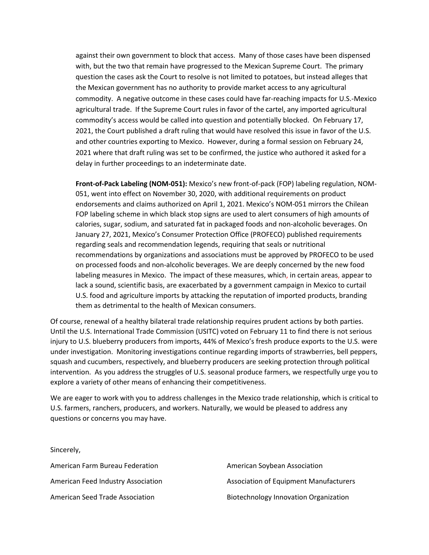against their own government to block that access. Many of those cases have been dispensed with, but the two that remain have progressed to the Mexican Supreme Court. The primary question the cases ask the Court to resolve is not limited to potatoes, but instead alleges that the Mexican government has no authority to provide market access to any agricultural commodity. A negative outcome in these cases could have far-reaching impacts for U.S.-Mexico agricultural trade. If the Supreme Court rules in favor of the cartel, any imported agricultural commodity's access would be called into question and potentially blocked. On February 17, 2021, the Court published a draft ruling that would have resolved this issue in favor of the U.S. and other countries exporting to Mexico. However, during a formal session on February 24, 2021 where that draft ruling was set to be confirmed, the justice who authored it asked for a delay in further proceedings to an indeterminate date.

**Front-of-Pack Labeling (NOM-051):** Mexico's new front-of-pack (FOP) labeling regulation, NOM-051, went into effect on November 30, 2020, with additional requirements on product endorsements and claims authorized on April 1, 2021. Mexico's NOM-051 mirrors the Chilean FOP labeling scheme in which black stop signs are used to alert consumers of high amounts of calories, sugar, sodium, and saturated fat in packaged foods and non-alcoholic beverages. On January 27, 2021, Mexico's Consumer Protection Office (PROFECO) published requirements regarding seals and recommendation legends, requiring that seals or nutritional recommendations by organizations and associations must be approved by PROFECO to be used on processed foods and non-alcoholic beverages. We are deeply concerned by the new food labeling measures in Mexico. The impact of these measures, which, in certain areas, appear to lack a sound, scientific basis, are exacerbated by a government campaign in Mexico to curtail U.S. food and agriculture imports by attacking the reputation of imported products, branding them as detrimental to the health of Mexican consumers.

Of course, renewal of a healthy bilateral trade relationship requires prudent actions by both parties. Until the U.S. International Trade Commission (USITC) voted on February 11 to find there is not serious injury to U.S. blueberry producers from imports, 44% of Mexico's fresh produce exports to the U.S. were under investigation. Monitoring investigations continue regarding imports of strawberries, bell peppers, squash and cucumbers, respectively, and blueberry producers are seeking protection through political intervention. As you address the struggles of U.S. seasonal produce farmers, we respectfully urge you to explore a variety of other means of enhancing their competitiveness.

We are eager to work with you to address challenges in the Mexico trade relationship, which is critical to U.S. farmers, ranchers, producers, and workers. Naturally, we would be pleased to address any questions or concerns you may have.

Sincerely, American Farm Bureau Federation American Feed Industry Association American Seed Trade Association American Soybean Association Association of Equipment Manufacturers Biotechnology Innovation Organization